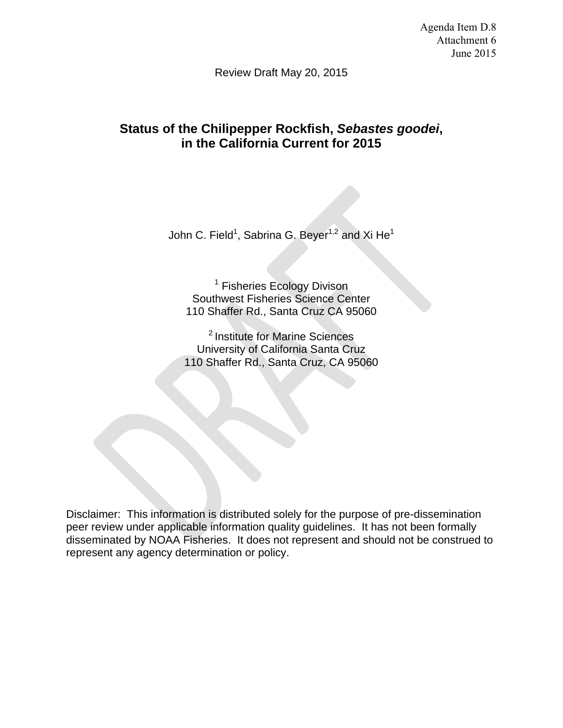Agenda Item D.8 Attachment 6 June 2015

Review Draft May 20, 2015

# **Status of the Chilipepper Rockfish,** *Sebastes goodei***, in the California Current for 2015**

John C. Field<sup>1</sup>, Sabrina G. Beyer<sup>1,2</sup> and Xi He<sup>1</sup>

<sup>1</sup> Fisheries Ecology Divison Southwest Fisheries Science Center 110 Shaffer Rd., Santa Cruz CA 95060

2 Institute for Marine Sciences University of California Santa Cruz 110 Shaffer Rd., Santa Cruz, CA 95060

Disclaimer: This information is distributed solely for the purpose of pre-dissemination peer review under applicable information quality guidelines. It has not been formally disseminated by NOAA Fisheries. It does not represent and should not be construed to represent any agency determination or policy.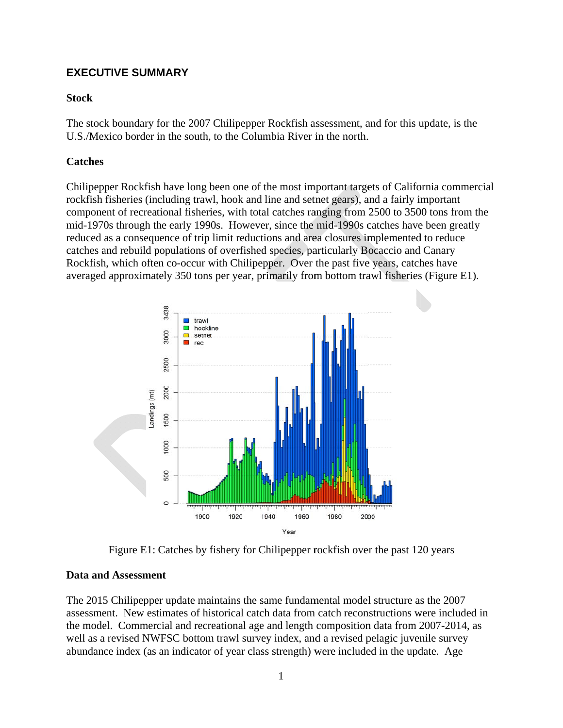# **EXECUTIVE SUMMARY**

### **Stock**

The stock boundary for the 2007 Chilipepper Rockfish assessment, and for this update, is the U.S./Mexico border in the south, to the Columbia River in the north.

# **Catches**

Chilipepper Rockfish have long been one of the most important targets of California commercial rockfish fisheries (including trawl, hook and line and setnet gears), and a fairly important component of recreational fisheries, with total catches ranging from 2500 to 3500 tons from the mid-1970s through the early 1990s. However, since the mid-1990s catches have been greatly reduced as a consequence of trip limit reductions and area closures implemented to reduce catches and rebuild populations of overfished species, particularly Bocaccio and Canary Rockfish, which often co-occur with Chilipepper. Over the past five years, catches have averaged approximately 350 tons per year, primarily from bottom trawl fisheries (Figure E1).



Figure E1: Catches by fishery for Chilipepper rockfish over the past 120 years

## **Data and Assessment**

The 2015 Chilipepper update maintains the same fundamental model structure as the 2007 assessment. New estimates of historical catch data from catch reconstructions were included in the model. Commercial and recreational age and length composition data from 2007-2014, as well as a revised NWFSC bottom trawl survey index, and a revised pelagic juvenile survey abundance index (as an indicator of year class strength) were included in the update. Age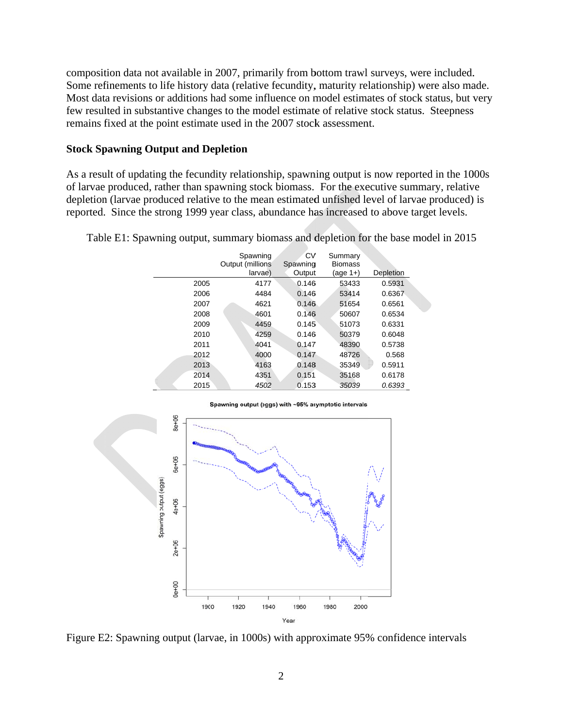composition data not available in 2007, primarily from bottom trawl surveys, were included. Some refinements to life history data (relative fecundity, maturity relationship) were also made. Most data revisions or additions had some influence on model estimates of stock status, but very few resulted in substantive changes to the model estimate of relative stock status. Steepness remains fixed at the point estimate used in the 2007 stock assessment.

#### **Stock Spawning Output and Depletion**

As a result of updating the fecundity relationship, spawning output is now reported in the 1000s of larvae produced, rather than spawning stock biomass. For the executive summary, relative depletion (larvae produced relative to the mean estimated unfished level of larvae produced) is reported. Since the strong 1999 year class, abundance has increased to above target levels.

|      | Spawning<br>Output (millions) | CV<br>Spawning | Summary<br><b>Biomass</b> |           |
|------|-------------------------------|----------------|---------------------------|-----------|
|      | larvae)                       | Output         | $(aq e 1+)$               | Depletion |
| 2005 | 4177                          | 0.146          | 53433                     | 0.5931    |
| 2006 | 4484                          | 0.146          | 53414                     | 0.6367    |
| 2007 | 4621                          | 0.146          | 51654                     | 0.6561    |
| 2008 | 4601                          | 0.146          | 50607                     | 0.6534    |
| 2009 | 4459                          | 0.145          | 51073                     | 0.6331    |
| 2010 | 4259                          | 0.146          | 50379                     | 0.6048    |
| 2011 | 4041                          | 0.147          | 48390                     | 0.5738    |
| 2012 | 4000                          | 0.147          | 48726                     | 0.568     |
| 2013 | 4163                          | 0.148          | 35349                     | 0.5911    |
| 2014 | 4351                          | 0.151          | 35168                     | 0.6178    |
| 2015 | 4502                          | 0.153          | 35039                     | 0.6393    |

Table E1: Spawning output, summary biomass and depletion for the base model in 2015



Figure E2: Spawning output (larvae, in 1000s) with approximate 95% confidence intervals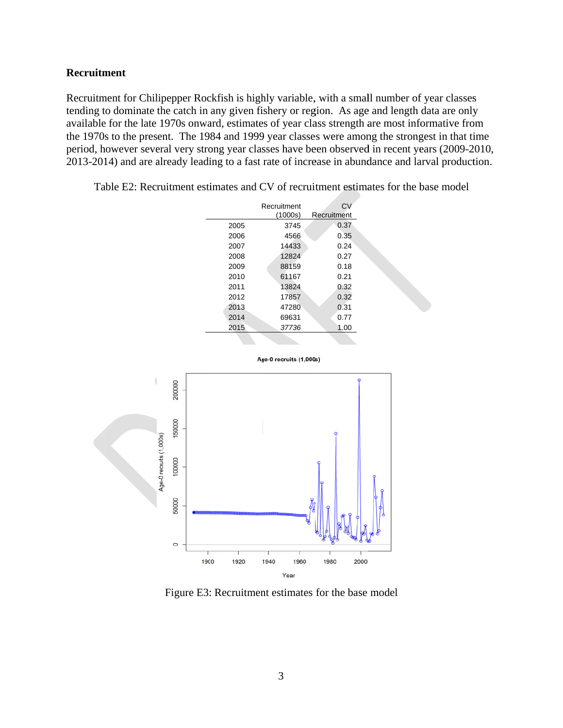#### **Recruitment**

Recruitment for Chilipepper Rockfish is highly variable, with a small number of year classes tending to dominate the catch in any given fishery or region. As age and length data are only available for the late 1970s onward, estimates of year class strength are most informative from the 1970s to the present. The 1984 and 1999 year classes were among the strongest in that time period, however several very strong year classes have been observed in recent years (2009-2010, 2013-2014) and are already leading to a fast rate of increase in abundance and larval production.

|      | Recruitment<br>(1000s) | CV<br>Recruitment |
|------|------------------------|-------------------|
| 2005 | 3745                   | 0.37              |
| 2006 | 4566                   | 0.35              |
| 2007 | 14433                  | 0.24              |
| 2008 | 12824                  | 0.27              |
| 2009 | 88159                  | 0.18              |
| 2010 | 61167                  | 0.21              |
| 2011 | 13824                  | 0.32              |
| 2012 | 17857                  | 0.32              |
| 2013 | 47280                  | 0.31              |
| 2014 | 69631                  | 0.77              |
| 2015 | 37736                  | 1.00              |
|      |                        |                   |

Table E2: Recruitment estimates and CV of recruitment estimates for the base model



Age-0 recruits (1,000s)

Figure E3: Recruitment estimates for the base model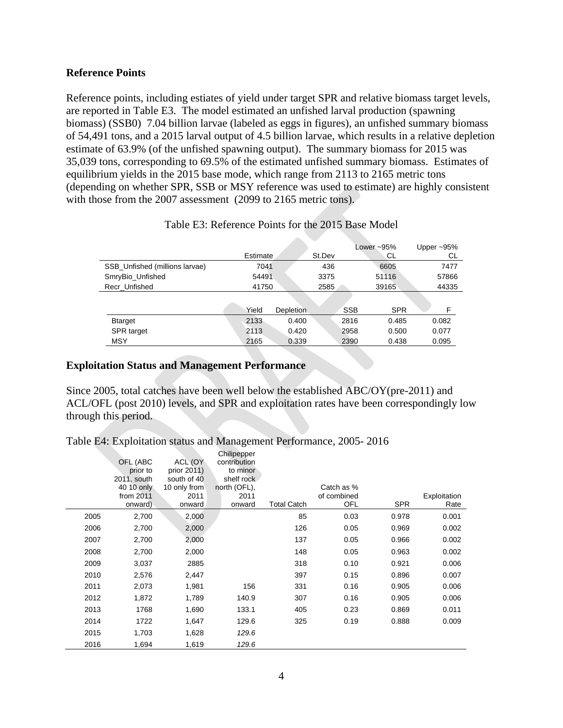### **Reference Points**

Reference points, including estiates of yield under target SPR and relative biomass target levels, are reported in Table E3. The model estimated an unfished larval production (spawning biomass) (SSB0) 7.04 billion larvae (labeled as eggs in figures), an unfished summary biomass of 54,491 tons, and a 2015 larval output of 4.5 billion larvae, which results in a relative depletion estimate of 63.9% (of the unfished spawning output). The summary biomass for 2015 was 35,039 tons, corresponding to 69.5% of the estimated unfished summary biomass. Estimates of equilibrium yields in the 2015 base mode, which range from 2113 to 2165 metric tons (depending on whether SPR, SSB or MSY reference was used to estimate) are highly consistent with those from the 2007 assessment (2099 to 2165 metric tons).

|                                | Estimate |                  | St.Dev | Lower $~-95\%$<br>СL |            | Upper $~-95\%$<br>СL |
|--------------------------------|----------|------------------|--------|----------------------|------------|----------------------|
| SSB Unfished (millions larvae) | 7041     |                  | 436    | 6605                 |            | 7477                 |
| SmryBio_Unfished               | 54491    |                  | 3375   |                      | 51116      | 57866                |
| Recr Unfished                  | 41750    |                  | 2585   |                      | 39165      |                      |
|                                |          |                  |        |                      |            |                      |
|                                | Yield    | <b>Depletion</b> |        | <b>SSB</b>           | <b>SPR</b> | F                    |
| <b>Btarget</b>                 | 2133     | 0.400            |        | 2816                 | 0.485      | 0.082                |
| <b>SPR</b> target              | 2113     | 0.420            |        | 2958                 | 0.500      | 0.077                |
| MSY                            | 2165     | 0.339            |        | 2390                 | 0.438      | 0.095                |

### Table E3: Reference Points for the 2015 Base Model

#### **Exploitation Status and Management Performance**

Since 2005, total catches have been well below the established ABC/OY(pre-2011) and ACL/OFL (post 2010) levels, and SPR and exploitation rates have been correspondingly low through this period.

|  |  | Table E4: Exploitation status and Management Performance, 2005-2016 |  |
|--|--|---------------------------------------------------------------------|--|
|  |  |                                                                     |  |

|      | OFL (ABC<br>prior to<br>2011, south<br>40 10 only<br>from 2011<br>onward) | ACL (OY<br>prior 2011)<br>south of 40<br>10 only from<br>2011<br>onward | Chilipepper<br>contribution<br>to minor<br>shelf rock<br>north (OFL),<br>2011<br>onward | <b>Total Catch</b> | Catch as %<br>of combined<br>OFL | <b>SPR</b> | Exploitation<br>Rate |
|------|---------------------------------------------------------------------------|-------------------------------------------------------------------------|-----------------------------------------------------------------------------------------|--------------------|----------------------------------|------------|----------------------|
| 2005 | 2,700                                                                     | 2,000                                                                   |                                                                                         | 85                 | 0.03                             | 0.978      | 0.001                |
| 2006 | 2,700                                                                     | 2,000                                                                   |                                                                                         | 126                | 0.05                             | 0.969      | 0.002                |
| 2007 | 2,700                                                                     | 2,000                                                                   |                                                                                         | 137                | 0.05                             | 0.966      | 0.002                |
| 2008 | 2,700                                                                     | 2,000                                                                   |                                                                                         | 148                | 0.05                             | 0.963      | 0.002                |
| 2009 | 3,037                                                                     | 2885                                                                    |                                                                                         | 318                | 0.10                             | 0.921      | 0.006                |
| 2010 | 2,576                                                                     | 2,447                                                                   |                                                                                         | 397                | 0.15                             | 0.896      | 0.007                |
| 2011 | 2,073                                                                     | 1,981                                                                   | 156                                                                                     | 331                | 0.16                             | 0.905      | 0.006                |
| 2012 | 1,872                                                                     | 1,789                                                                   | 140.9                                                                                   | 307                | 0.16                             | 0.905      | 0.006                |
| 2013 | 1768                                                                      | 1,690                                                                   | 133.1                                                                                   | 405                | 0.23                             | 0.869      | 0.011                |
| 2014 | 1722                                                                      | 1,647                                                                   | 129.6                                                                                   | 325                | 0.19                             | 0.888      | 0.009                |
| 2015 | 1,703                                                                     | 1,628                                                                   | 129.6                                                                                   |                    |                                  |            |                      |
| 2016 | 1,694                                                                     | 1,619                                                                   | 129.6                                                                                   |                    |                                  |            |                      |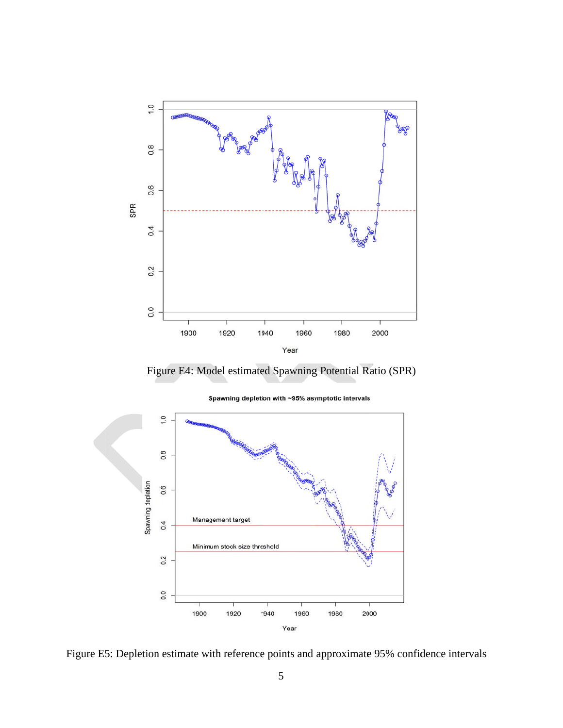

Fig ure E4: Mo del estimate d Spawning Potential R atio (SPR)



Spawning depletion with ~95% asymptotic intervals

Figure E5: Depletion estimate with reference points and approximate 95% confidence intervals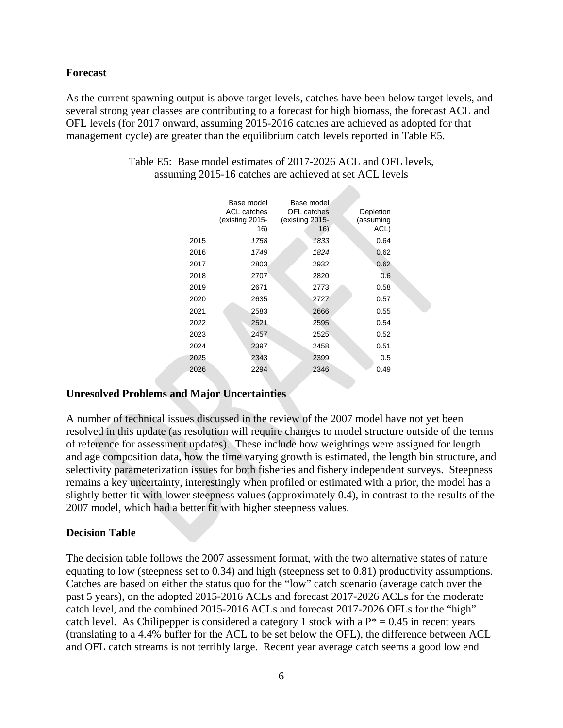### **Forecast**

As the current spawning output is above target levels, catches have been below target levels, and several strong year classes are contributing to a forecast for high biomass, the forecast ACL and OFL levels (for 2017 onward, assuming 2015-2016 catches are achieved as adopted for that management cycle) are greater than the equilibrium catch levels reported in Table E5.

|      | Base model<br><b>ACL</b> catches<br>existing 2015-<br>16) | Base model<br><b>OFL</b> catches<br>(existing 2015-<br>16) | Depletion<br>(assuming<br>ACL) |
|------|-----------------------------------------------------------|------------------------------------------------------------|--------------------------------|
| 2015 | 1758                                                      | 1833                                                       | 0.64                           |
| 2016 | 1749                                                      | 1824                                                       | 0.62                           |
| 2017 | 2803                                                      | 2932                                                       | 0.62                           |
| 2018 | 2707                                                      | 2820                                                       | 0.6                            |
| 2019 | 2671                                                      | 2773                                                       | 0.58                           |
| 2020 | 2635                                                      | 2727                                                       | 0.57                           |
| 2021 | 2583                                                      | 2666                                                       | 0.55                           |
| 2022 | 2521                                                      | 2595                                                       | 0.54                           |
| 2023 | 2457                                                      | 2525                                                       | 0.52                           |
| 2024 | 2397                                                      | 2458                                                       | 0.51                           |
| 2025 | 2343                                                      | 2399                                                       | 0.5                            |
| 2026 | 2294                                                      | 2346                                                       | 0.49                           |

Table E5: Base model estimates of 2017-2026 ACL and OFL levels, assuming 2015-16 catches are achieved at set ACL levels

alla.

### **Unresolved Problems and Major Uncertainties**

A number of technical issues discussed in the review of the 2007 model have not yet been resolved in this update (as resolution will require changes to model structure outside of the terms of reference for assessment updates). These include how weightings were assigned for length and age composition data, how the time varying growth is estimated, the length bin structure, and selectivity parameterization issues for both fisheries and fishery independent surveys. Steepness remains a key uncertainty, interestingly when profiled or estimated with a prior, the model has a slightly better fit with lower steepness values (approximately 0.4), in contrast to the results of the 2007 model, which had a better fit with higher steepness values.

### **Decision Table**

The decision table follows the 2007 assessment format, with the two alternative states of nature equating to low (steepness set to 0.34) and high (steepness set to 0.81) productivity assumptions. Catches are based on either the status quo for the "low" catch scenario (average catch over the past 5 years), on the adopted 2015-2016 ACLs and forecast 2017-2026 ACLs for the moderate catch level, and the combined 2015-2016 ACLs and forecast 2017-2026 OFLs for the "high" catch level. As Chilipepper is considered a category 1 stock with a  $P^* = 0.45$  in recent years (translating to a 4.4% buffer for the ACL to be set below the OFL), the difference between ACL and OFL catch streams is not terribly large. Recent year average catch seems a good low end